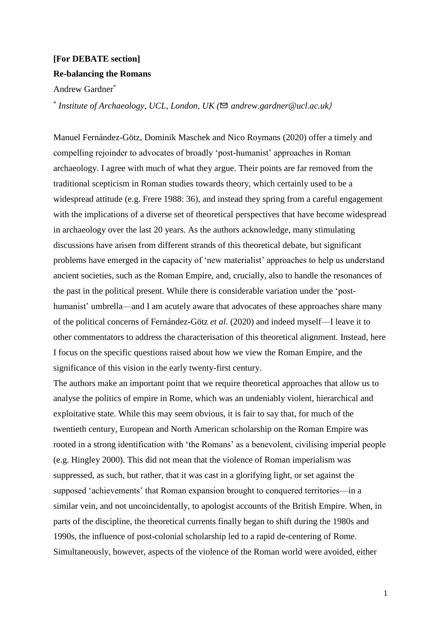## **[For DEBATE section] Re-balancing the Romans**

Andrew Gardner\*

\* *Institute of Archaeology, UCL, London, UK (*✉ *andrew.gardner@ucl.ac.uk*)

Manuel Fernández-Götz, Dominik Maschek and Nico Roymans (2020) offer a timely and compelling rejoinder to advocates of broadly 'post-humanist' approaches in Roman archaeology. I agree with much of what they argue. Their points are far removed from the traditional scepticism in Roman studies towards theory, which certainly used to be a widespread attitude (e.g. Frere 1988: 36), and instead they spring from a careful engagement with the implications of a diverse set of theoretical perspectives that have become widespread in archaeology over the last 20 years. As the authors acknowledge, many stimulating discussions have arisen from different strands of this theoretical debate, but significant problems have emerged in the capacity of 'new materialist' approaches to help us understand ancient societies, such as the Roman Empire, and, crucially, also to handle the resonances of the past in the political present. While there is considerable variation under the 'posthumanist' umbrella—and I am acutely aware that advocates of these approaches share many of the political concerns of Fernández-Götz *et al*. (2020) and indeed myself—I leave it to other commentators to address the characterisation of this theoretical alignment. Instead, here I focus on the specific questions raised about how we view the Roman Empire, and the significance of this vision in the early twenty-first century.

The authors make an important point that we require theoretical approaches that allow us to analyse the politics of empire in Rome, which was an undeniably violent, hierarchical and exploitative state. While this may seem obvious, it is fair to say that, for much of the twentieth century, European and North American scholarship on the Roman Empire was rooted in a strong identification with 'the Romans' as a benevolent, civilising imperial people (e.g. Hingley 2000). This did not mean that the violence of Roman imperialism was suppressed, as such, but rather, that it was cast in a glorifying light, or set against the supposed 'achievements' that Roman expansion brought to conquered territories—in a similar vein, and not uncoincidentally, to apologist accounts of the British Empire. When, in parts of the discipline, the theoretical currents finally began to shift during the 1980s and 1990s, the influence of post-colonial scholarship led to a rapid de-centering of Rome. Simultaneously, however, aspects of the violence of the Roman world were avoided, either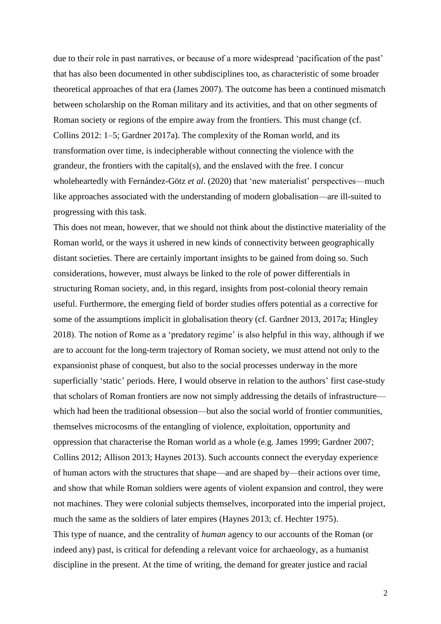due to their role in past narratives, or because of a more widespread 'pacification of the past' that has also been documented in other subdisciplines too, as characteristic of some broader theoretical approaches of that era (James 2007). The outcome has been a continued mismatch between scholarship on the Roman military and its activities, and that on other segments of Roman society or regions of the empire away from the frontiers. This must change (cf. Collins 2012: 1–5; Gardner 2017a). The complexity of the Roman world, and its transformation over time, is indecipherable without connecting the violence with the grandeur, the frontiers with the capital(s), and the enslaved with the free. I concur wholeheartedly with Fernández-Götz *et al*. (2020) that 'new materialist' perspectives—much like approaches associated with the understanding of modern globalisation—are ill-suited to progressing with this task.

This does not mean, however, that we should not think about the distinctive materiality of the Roman world, or the ways it ushered in new kinds of connectivity between geographically distant societies. There are certainly important insights to be gained from doing so. Such considerations, however, must always be linked to the role of power differentials in structuring Roman society, and, in this regard, insights from post-colonial theory remain useful. Furthermore, the emerging field of border studies offers potential as a corrective for some of the assumptions implicit in globalisation theory (cf. Gardner 2013, 2017a; Hingley 2018). The notion of Rome as a 'predatory regime' is also helpful in this way, although if we are to account for the long-term trajectory of Roman society, we must attend not only to the expansionist phase of conquest, but also to the social processes underway in the more superficially 'static' periods. Here, I would observe in relation to the authors' first case-study that scholars of Roman frontiers are now not simply addressing the details of infrastructure which had been the traditional obsession—but also the social world of frontier communities, themselves microcosms of the entangling of violence, exploitation, opportunity and oppression that characterise the Roman world as a whole (e.g. James 1999; Gardner 2007; Collins 2012; Allison 2013; Haynes 2013). Such accounts connect the everyday experience of human actors with the structures that shape—and are shaped by—their actions over time, and show that while Roman soldiers were agents of violent expansion and control, they were not machines. They were colonial subjects themselves, incorporated into the imperial project, much the same as the soldiers of later empires (Haynes 2013; cf. Hechter 1975). This type of nuance, and the centrality of *human* agency to our accounts of the Roman (or indeed any) past, is critical for defending a relevant voice for archaeology, as a humanist discipline in the present. At the time of writing, the demand for greater justice and racial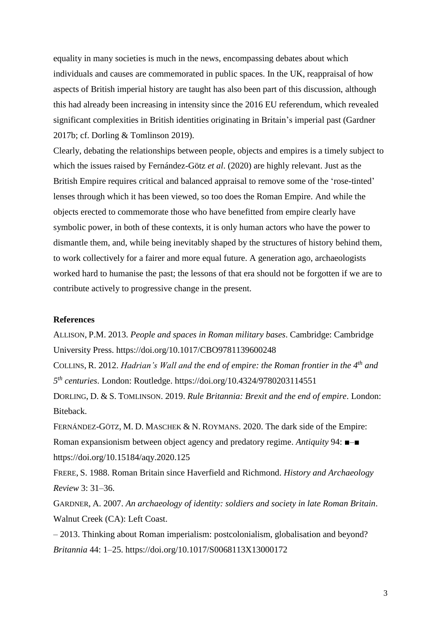equality in many societies is much in the news, encompassing debates about which individuals and causes are commemorated in public spaces. In the UK, reappraisal of how aspects of British imperial history are taught has also been part of this discussion, although this had already been increasing in intensity since the 2016 EU referendum, which revealed significant complexities in British identities originating in Britain's imperial past (Gardner 2017b; cf. Dorling & Tomlinson 2019).

Clearly, debating the relationships between people, objects and empires is a timely subject to which the issues raised by Fernández-Götz *et al*. (2020) are highly relevant. Just as the British Empire requires critical and balanced appraisal to remove some of the 'rose-tinted' lenses through which it has been viewed, so too does the Roman Empire. And while the objects erected to commemorate those who have benefitted from empire clearly have symbolic power, in both of these contexts, it is only human actors who have the power to dismantle them, and, while being inevitably shaped by the structures of history behind them, to work collectively for a fairer and more equal future. A generation ago, archaeologists worked hard to humanise the past; the lessons of that era should not be forgotten if we are to contribute actively to progressive change in the present.

## **References**

ALLISON, P.M. 2013. *People and spaces in Roman military bases*. Cambridge: Cambridge University Press. https://doi.org/10.1017/CBO9781139600248 COLLINS, R. 2012. *Hadrian's Wall and the end of empire: the Roman frontier in the 4th and 5 th centuries*. London: Routledge. https://doi.org/10.4324/9780203114551

DORLING, D. & S. TOMLINSON. 2019. *Rule Britannia: Brexit and the end of empire*. London: Biteback.

FERNÁNDEZ-GÖTZ, M. D. MASCHEK & N. ROYMANS. 2020. The dark side of the Empire: Roman expansionism between object agency and predatory regime. *Antiquity* 94: ■–■ https://doi.org/10.15184/aqy.2020.125

FRERE, S. 1988. Roman Britain since Haverfield and Richmond. *History and Archaeology Review* 3: 31–36.

GARDNER, A. 2007. *An archaeology of identity: soldiers and society in late Roman Britain*. Walnut Creek (CA): Left Coast.

– 2013. Thinking about Roman imperialism: postcolonialism, globalisation and beyond? *Britannia* 44: 1–25. https://doi.org/10.1017/S0068113X13000172